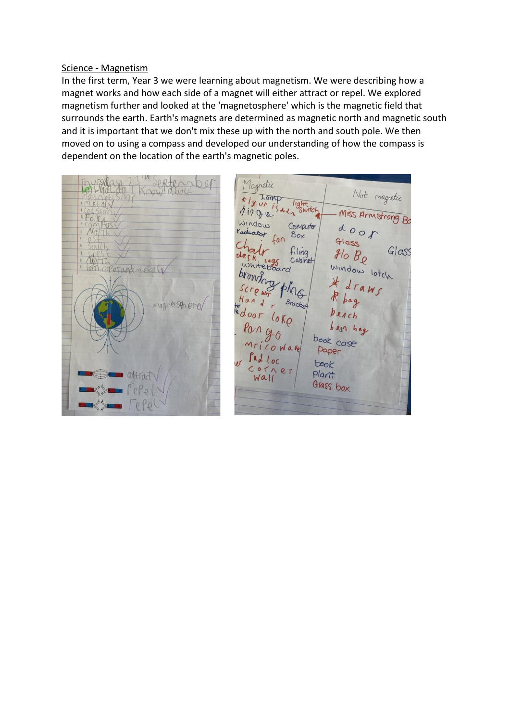## Science - Magnetism

In the first term, Year 3 we were learning about magnetism. We were describing how a magnet works and how each side of a magnet will either attract or repel. We explored magnetism further and looked at the 'magnetosphere' which is the magnetic field that surrounds the earth. Earth's magnets are determined as magnetic north and magnetic south and it is important that we don't mix these up with the north and south pole. We then moved on to using a compass and developed our understanding of how the compass is dependent on the location of the earth's magnetic poles.

Magnetic  $\frac{1}{\pi}$  hamp<br> $\frac{1}{2}$   $\frac{1}{2}$   $\frac{1}{2}$ <br> $\frac{1}{2}$   $\frac{1}{2}$   $\frac{1}{2}$   $\frac{1}{2}$ Not magnetic light.  $+$   $\Lambda$  $A$ inga Miss Armstrong Bo Window door Computer raduator Box  $fan$ Glass Glass filing  $g/_{O}B_{\rho}$ de Vorth Capinet whiteboard window latch Coperant nekal angue ping  $d \Gamma$ awc  $\mathcal{L}_l$  $P$   $w<sub>1</sub>$  $Brack_{\text{eff}}$ pag nagnetsph ere te door  $6K$  $1ch$ bean bag book case Mricowave Paper  $\int d\omega$   $\int$   $\sigma$ book  $COTICE$ Plant  $WALI$ Glass box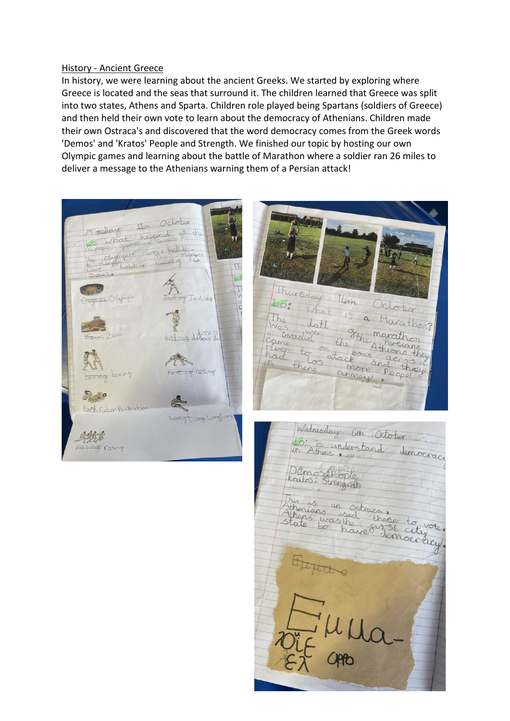### History - Ancient Greece

In history, we were learning about the ancient Greeks. We started by exploring where Greece is located and the seas that surround it. The children learned that Greece was split into two states, Athens and Sparta. Children role played being Spartans (soldiers of Greece) and then held their own vote to learn about the democracy of Athenians. Children made their own Ostraca's and discovered that the word democracy comes from the Greek words 'Demos' and 'Kratos' People and Strength. We finished our topic by hosting our own Olympic games and learning about the battle of Marathon where a soldier ran 26 miles to deliver a message to the Athenians warning them of a Persian attack!



Thursday  $14+n$ Lo: October What 15 a Marathon? The date Was datt<br>Camedia the Marathon<br>Came to on the Athensions<br>had to atackous accors they cirmey,

Wednesday 6th October Lo: To understand democraci Dêmos Pople This is an ostraca.<br>Athenians used those to vote.<br>State to have remounding. Eppas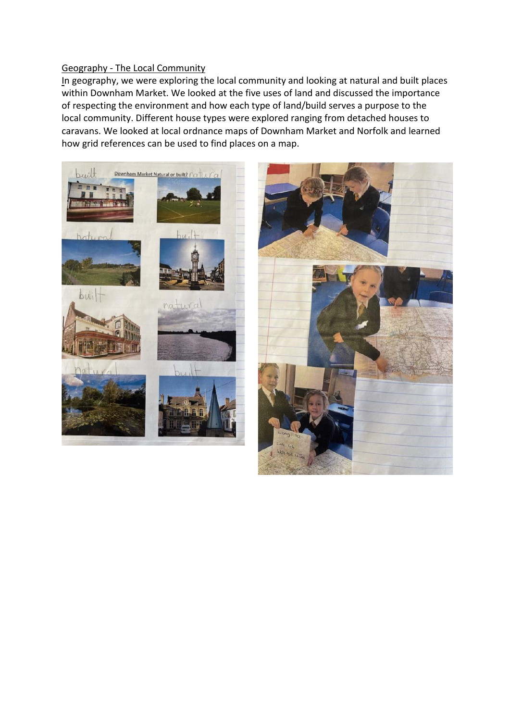# Geography - The Local Community

In geography, we were exploring the local community and looking at natural and built places within Downham Market. We looked at the five uses of land and discussed the importance of respecting the environment and how each type of land/build serves a purpose to the local community. Different house types were explored ranging from detached houses to caravans. We looked at local ordnance maps of Downham Market and Norfolk and learned how grid references can be used to find places on a map.

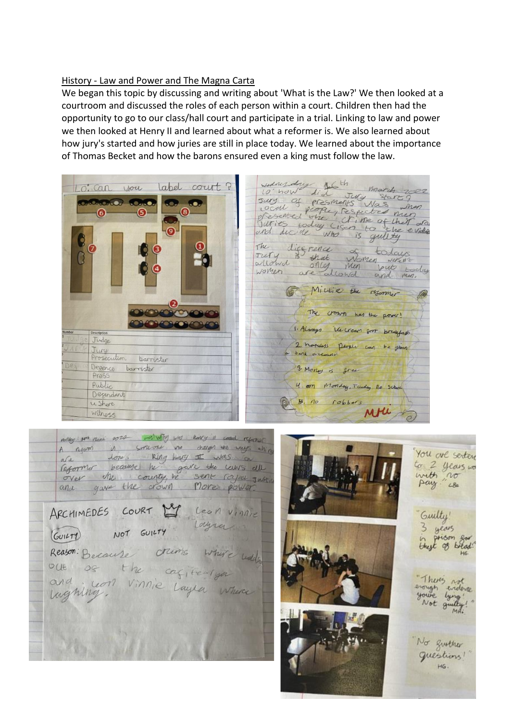# History - Law and Power and The Magna Carta

We began this topic by discussing and writing about 'What is the Law?' We then looked at a courtroom and discussed the roles of each person within a court. Children then had the opportunity to go to our class/hall court and participate in a trial. Linking to law and power we then looked at Henry II and learned about what a reformer is. We also learned about how jury's started and how juries are still in place today. We learned about the importance of Thomas Becket and how the barons ensured even a king must follow the law.



would do the march 2002<br>surg of eresmants was June<br>presented the Respected men<br>furies today (Isen to the evident<br>and ducide who is guilty wednesday light The discretice of todays<br>ollowed that women where<br>women are allowed and men. Millie the resonance The crown has the power! 1. Always We cream from breakfast 2. noveless people can be given bank account. 3. Money is gree 4. on Monday, Tuday no School 5. no robbers MM &